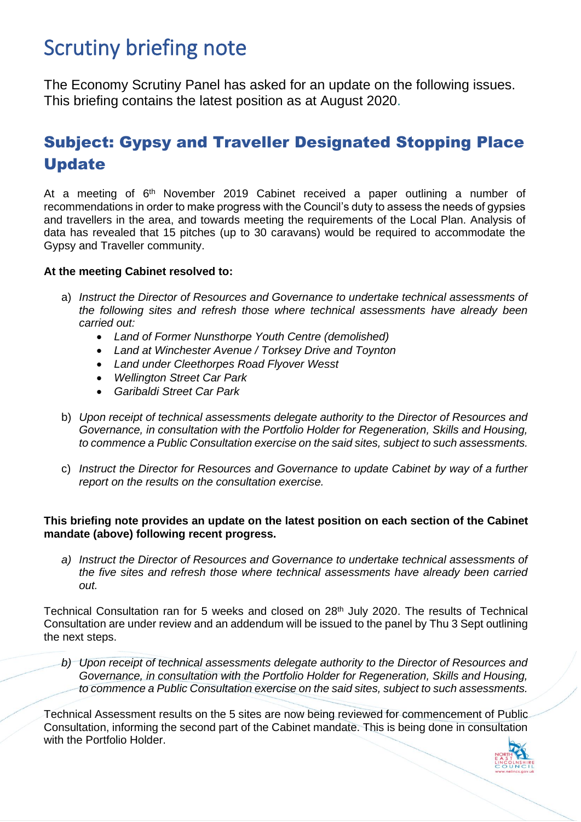# Scrutiny briefing note

The Economy Scrutiny Panel has asked for an update on the following issues. This briefing contains the latest position as at August 2020.

## Subject: Gypsy and Traveller Designated Stopping Place Update

At a meeting of 6<sup>th</sup> November 2019 Cabinet received a paper outlining a number of recommendations in order to make progress with the Council's duty to assess the needs of gypsies and travellers in the area, and towards meeting the requirements of the Local Plan. Analysis of data has revealed that 15 pitches (up to 30 caravans) would be required to accommodate the Gypsy and Traveller community.

### **At the meeting Cabinet resolved to:**

- a) *Instruct the Director of Resources and Governance to undertake technical assessments of the following sites and refresh those where technical assessments have already been carried out:*
	- *Land of Former Nunsthorpe Youth Centre (demolished)*
	- *Land at Winchester Avenue / Torksey Drive and Toynton*
	- *Land under Cleethorpes Road Flyover Wesst*
	- *Wellington Street Car Park*
	- *Garibaldi Street Car Park*
- b) *Upon receipt of technical assessments delegate authority to the Director of Resources and Governance, in consultation with the Portfolio Holder for Regeneration, Skills and Housing, to commence a Public Consultation exercise on the said sites, subject to such assessments.*
- c) *Instruct the Director for Resources and Governance to update Cabinet by way of a further report on the results on the consultation exercise.*

#### **This briefing note provides an update on the latest position on each section of the Cabinet mandate (above) following recent progress.**

*a) Instruct the Director of Resources and Governance to undertake technical assessments of the five sites and refresh those where technical assessments have already been carried out.*

Technical Consultation ran for 5 weeks and closed on 28<sup>th</sup> July 2020. The results of Technical Consultation are under review and an addendum will be issued to the panel by Thu 3 Sept outlining the next steps.

*b) Upon receipt of technical assessments delegate authority to the Director of Resources and Governance, in consultation with the Portfolio Holder for Regeneration, Skills and Housing, to commence a Public Consultation exercise on the said sites, subject to such assessments.*

Technical Assessment results on the 5 sites are now being reviewed for commencement of Public Consultation, informing the second part of the Cabinet mandate. This is being done in consultation with the Portfolio Holder.